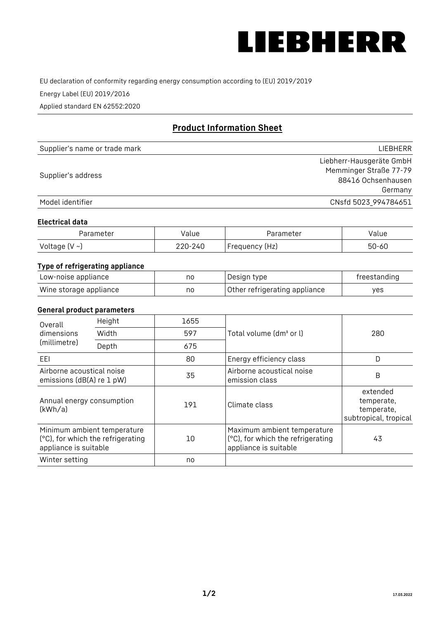

EU declaration of conformity regarding energy consumption according to (EU) 2019/2019

Energy Label (EU) 2019/2016

Applied standard EN 62552:2020

# **Product Information Sheet**

| Supplier's name or trade mark | LIEBHERR                 |
|-------------------------------|--------------------------|
|                               | Liebherr-Hausgeräte GmbH |
| Supplier's address            | Memminger Straße 77-79   |
|                               | 88416 Ochsenhausen       |
|                               | Germany                  |
| Model identifier              | CNsfd 5023_994784651     |

#### **Electrical data**

| Parameter           | Value   | Parameter      | alue/     |
|---------------------|---------|----------------|-----------|
| Voltage (V $\sim$ ) | 220-240 | Frequency (Hz) | $50 - 60$ |

## **Type of refrigerating appliance**

| Low-noise appliance    | nc | Design type                   | freestanding |
|------------------------|----|-------------------------------|--------------|
| Wine storage appliance | nc | Other refrigerating appliance | ves          |

#### **General product parameters**

| Height<br>Overall                                      |                                                                  | 1655 |                                                                                           |                                                               |
|--------------------------------------------------------|------------------------------------------------------------------|------|-------------------------------------------------------------------------------------------|---------------------------------------------------------------|
| dimensions<br>(millimetre)                             | Width                                                            | 597  | Total volume (dm <sup>3</sup> or l)                                                       | 280                                                           |
|                                                        | Depth                                                            | 675  |                                                                                           |                                                               |
| EEL                                                    |                                                                  | 80   | Energy efficiency class                                                                   | D                                                             |
| Airborne acoustical noise<br>emissions (dB(A) re 1 pW) |                                                                  | 35   | Airborne acoustical noise<br>emission class                                               | B                                                             |
| Annual energy consumption<br>(kWh/a)                   |                                                                  | 191  | Climate class                                                                             | extended<br>temperate,<br>temperate,<br>subtropical, tropical |
| appliance is suitable                                  | Minimum ambient temperature<br>(°C), for which the refrigerating | 10   | Maximum ambient temperature<br>(°C), for which the refrigerating<br>appliance is suitable | 43                                                            |
| Winter setting                                         |                                                                  | no   |                                                                                           |                                                               |